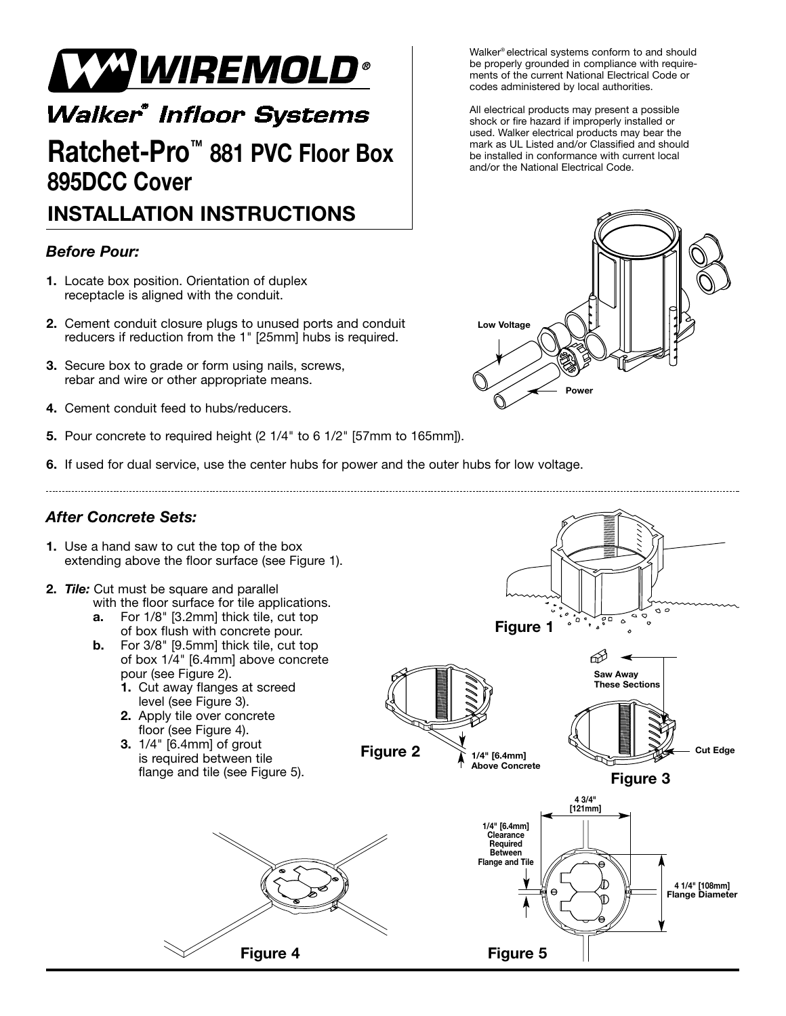

## **Walker® Infloor Systems**

# **Ratchet-Pro™ 881 PVC Floor Box 895DCC Cover**

### **INSTALLATION INSTRUCTIONS**

#### *Before Pour:*

- **1.** Locate box position. Orientation of duplex receptacle is aligned with the conduit.
- **2.** Cement conduit closure plugs to unused ports and conduit reducers if reduction from the 1" [25mm] hubs is required.
- **3.** Secure box to grade or form using nails, screws, rebar and wire or other appropriate means.
- **4.** Cement conduit feed to hubs/reducers.
- **5.** Pour concrete to required height (2 1/4" to 6 1/2" [57mm to 165mm]).
- **6.** If used for dual service, use the center hubs for power and the outer hubs for low voltage.



Walker® electrical systems conform to and should be properly grounded in compliance with requirements of the current National Electrical Code or codes administered by local authorities.

All electrical products may present a possible shock or fire hazard if improperly installed or used. Walker electrical products may bear the mark as UL Listed and/or Classified and should be installed in conformance with current local and/or the National Electrical Code.